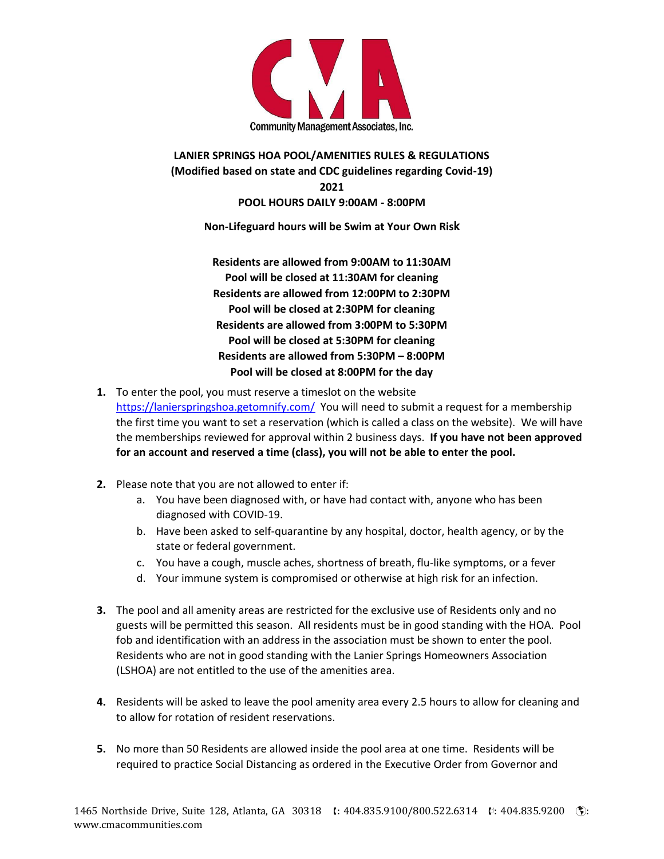

## **LANIER SPRINGS HOA POOL/AMENITIES RULES & REGULATIONS (Modified based on state and CDC guidelines regarding Covid-19) 2021 POOL HOURS DAILY 9:00AM - 8:00PM**

**Non-Lifeguard hours will be Swim at Your Own Risk**

**Residents are allowed from 9:00AM to 11:30AM Pool will be closed at 11:30AM for cleaning Residents are allowed from 12:00PM to 2:30PM Pool will be closed at 2:30PM for cleaning Residents are allowed from 3:00PM to 5:30PM Pool will be closed at 5:30PM for cleaning Residents are allowed from 5:30PM – 8:00PM Pool will be closed at 8:00PM for the day**

- **1.** To enter the pool, you must reserve a timeslot on the website <https://lanierspringshoa.getomnify.com/> You will need to submit a request for a membership the first time you want to set a reservation (which is called a class on the website). We will have the memberships reviewed for approval within 2 business days. **If you have not been approved for an account and reserved a time (class), you will not be able to enter the pool.**
- **2.** Please note that you are not allowed to enter if:
	- a. You have been diagnosed with, or have had contact with, anyone who has been diagnosed with COVID-19.
	- b. Have been asked to self-quarantine by any hospital, doctor, health agency, or by the state or federal government.
	- c. You have a cough, muscle aches, shortness of breath, flu-like symptoms, or a fever
	- d. Your immune system is compromised or otherwise at high risk for an infection.
- **3.** The pool and all amenity areas are restricted for the exclusive use of Residents only and no guests will be permitted this season. All residents must be in good standing with the HOA. Pool fob and identification with an address in the association must be shown to enter the pool. Residents who are not in good standing with the Lanier Springs Homeowners Association (LSHOA) are not entitled to the use of the amenities area.
- **4.** Residents will be asked to leave the pool amenity area every 2.5 hours to allow for cleaning and to allow for rotation of resident reservations.
- **5.** No more than 50 Residents are allowed inside the pool area at one time. Residents will be required to practice Social Distancing as ordered in the Executive Order from Governor and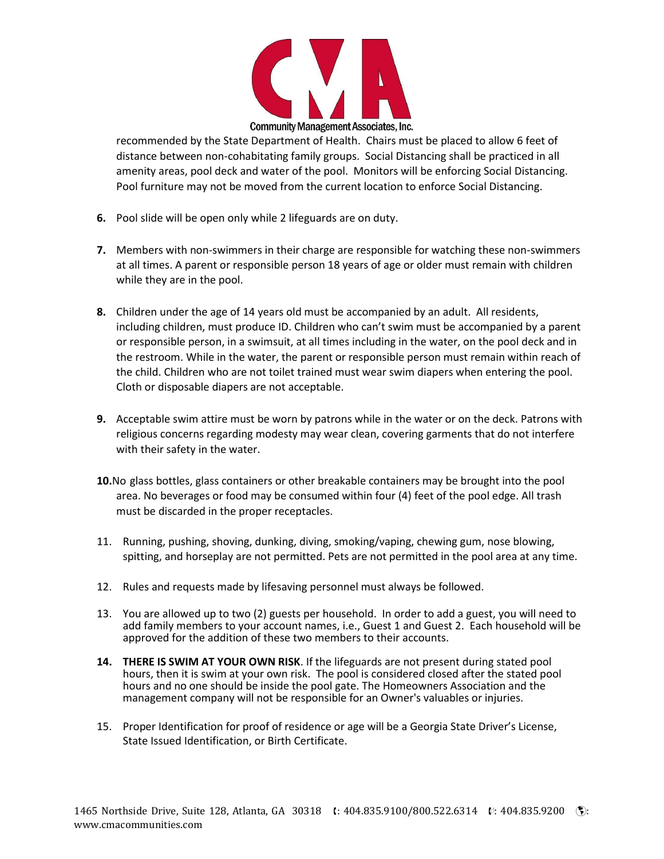

recommended by the State Department of Health. Chairs must be placed to allow 6 feet of distance between non-cohabitating family groups. Social Distancing shall be practiced in all amenity areas, pool deck and water of the pool. Monitors will be enforcing Social Distancing. Pool furniture may not be moved from the current location to enforce Social Distancing.

- **6.** Pool slide will be open only while 2 lifeguards are on duty.
- **7.** Members with non-swimmers in their charge are responsible for watching these non-swimmers at all times. A parent or responsible person 18 years of age or older must remain with children while they are in the pool.
- **8.** Children under the age of 14 years old must be accompanied by an adult. All residents, including children, must produce ID. Children who can't swim must be accompanied by a parent or responsible person, in a swimsuit, at all times including in the water, on the pool deck and in the restroom. While in the water, the parent or responsible person must remain within reach of the child. Children who are not toilet trained must wear swim diapers when entering the pool. Cloth or disposable diapers are not acceptable.
- **9.** Acceptable swim attire must be worn by patrons while in the water or on the deck. Patrons with religious concerns regarding modesty may wear clean, covering garments that do not interfere with their safety in the water.
- **10.**No glass bottles, glass containers or other breakable containers may be brought into the pool area. No beverages or food may be consumed within four (4) feet of the pool edge. All trash must be discarded in the proper receptacles.
- 11. Running, pushing, shoving, dunking, diving, smoking/vaping, chewing gum, nose blowing, spitting, and horseplay are not permitted. Pets are not permitted in the pool area at any time.
- 12. Rules and requests made by lifesaving personnel must always be followed.
- 13. You are allowed up to two (2) guests per household. In order to add a guest, you will need to add family members to your account names, i.e., Guest 1 and Guest 2. Each household will be approved for the addition of these two members to their accounts.
- **14. THERE IS SWIM AT YOUR OWN RISK**. If the lifeguards are not present during stated pool hours, then it is swim at your own risk. The pool is considered closed after the stated pool hours and no one should be inside the pool gate. The Homeowners Association and the management company will not be responsible for an Owner's valuables or injuries.
- 15. Proper Identification for proof of residence or age will be a Georgia State Driver's License, State Issued Identification, or Birth Certificate.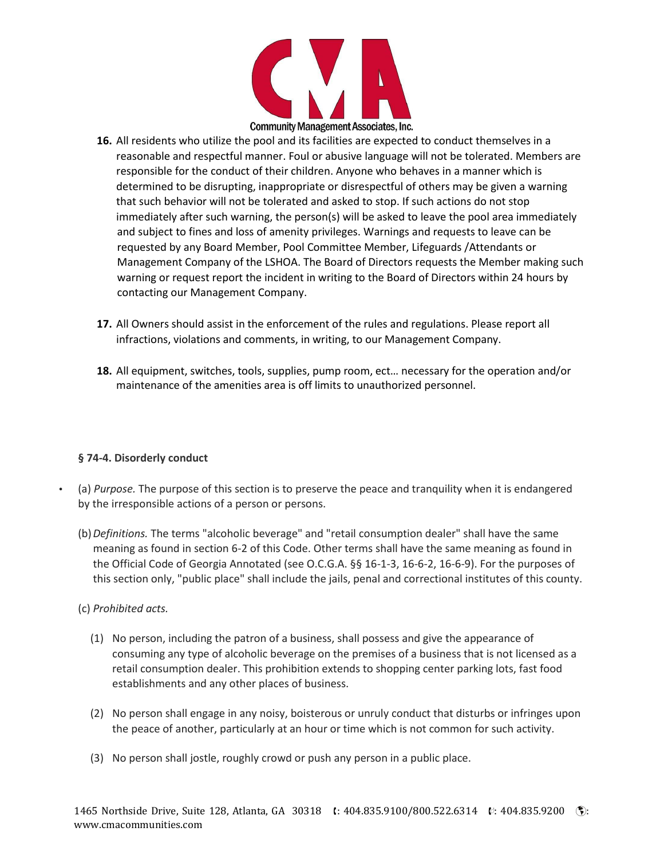

- **16.** All residents who utilize the pool and its facilities are expected to conduct themselves in a reasonable and respectful manner. Foul or abusive language will not be tolerated. Members are responsible for the conduct of their children. Anyone who behaves in a manner which is determined to be disrupting, inappropriate or disrespectful of others may be given a warning that such behavior will not be tolerated and asked to stop. If such actions do not stop immediately after such warning, the person(s) will be asked to leave the pool area immediately and subject to fines and loss of amenity privileges. Warnings and requests to leave can be requested by any Board Member, Pool Committee Member, Lifeguards /Attendants or Management Company of the LSHOA. The Board of Directors requests the Member making such warning or request report the incident in writing to the Board of Directors within 24 hours by contacting our Management Company.
- **17.** All Owners should assist in the enforcement of the rules and regulations. Please report all infractions, violations and comments, in writing, to our Management Company.
- **18.** All equipment, switches, tools, supplies, pump room, ect… necessary for the operation and/or maintenance of the amenities area is off limits to unauthorized personnel.

#### **§ 74-4. Disorderly conduct**

- (a) *Purpose.* The purpose of this section is to preserve the peace and tranquility when it is endangered by the irresponsible actions of a person or persons.
	- (b)*Definitions.* The terms "alcoholic beverage" and "retail consumption dealer" shall have the same meaning as found in section 6-2 of this Code. Other terms shall have the same meaning as found in the Official Code of Georgia Annotated (see O.C.G.A. §§ 16-1-3, 16-6-2, 16-6-9). For the purposes of this section only, "public place" shall include the jails, penal and correctional institutes of this county.

#### (c) *Prohibited acts.*

- (1) No person, including the patron of a business, shall possess and give the appearance of consuming any type of alcoholic beverage on the premises of a business that is not licensed as a retail consumption dealer. This prohibition extends to shopping center parking lots, fast food establishments and any other places of business.
- (2) No person shall engage in any noisy, boisterous or unruly conduct that disturbs or infringes upon the peace of another, particularly at an hour or time which is not common for such activity.
- (3) No person shall jostle, roughly crowd or push any person in a public place.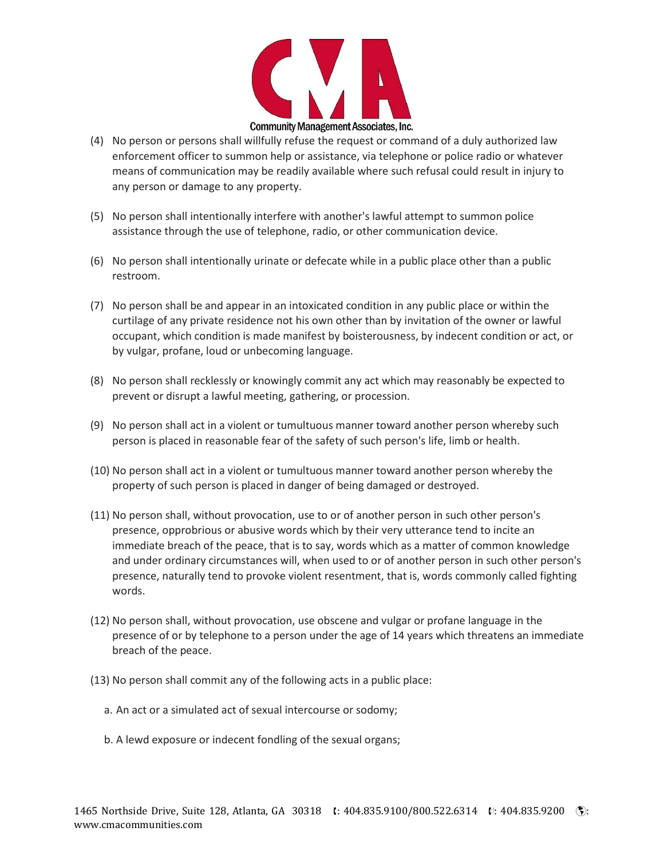

- (4) No person or persons shall willfully refuse the request or command of a duly authorized law enforcement officer to summon help or assistance, via telephone or police radio or whatever means of communication may be readily available where such refusal could result in injury to any person or damage to any property.
- (5) No person shall intentionally interfere with another's lawful attempt to summon police assistance through the use of telephone, radio, or other communication device.
- (6) No person shall intentionally urinate or defecate while in a public place other than a public restroom.
- (7) No person shall be and appear in an intoxicated condition in any public place or within the curtilage of any private residence not his own other than by invitation of the owner or lawful occupant, which condition is made manifest by boisterousness, by indecent condition or act, or by vulgar, profane, loud or unbecoming language.
- (8) No person shall recklessly or knowingly commit any act which may reasonably be expected to prevent or disrupt a lawful meeting, gathering, or procession.
- (9) No person shall act in a violent or tumultuous manner toward another person whereby such person is placed in reasonable fear of the safety of such person's life, limb or health.
- (10) No person shall act in a violent or tumultuous manner toward another person whereby the property of such person is placed in danger of being damaged or destroyed.
- (11) No person shall, without provocation, use to or of another person in such other person's presence, opprobrious or abusive words which by their very utterance tend to incite an immediate breach of the peace, that is to say, words which as a matter of common knowledge and under ordinary circumstances will, when used to or of another person in such other person's presence, naturally tend to provoke violent resentment, that is, words commonly called fighting words.
- (12) No person shall, without provocation, use obscene and vulgar or profane language in the presence of or by telephone to a person under the age of 14 years which threatens an immediate breach of the peace.
- (13) No person shall commit any of the following acts in a public place:
	- a. An act or a simulated act of sexual intercourse or sodomy;
	- b. A lewd exposure or indecent fondling of the sexual organs;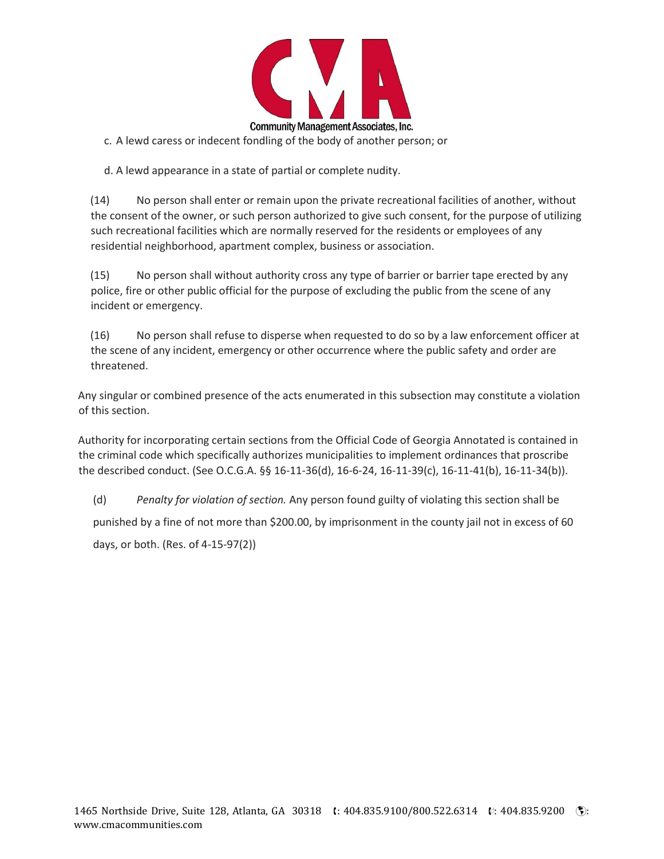

c. A lewd caress or indecent fondling of the body of another person; or

d. A lewd appearance in a state of partial or complete nudity.

(14) No person shall enter or remain upon the private recreational facilities of another, without the consent of the owner, or such person authorized to give such consent, for the purpose of utilizing such recreational facilities which are normally reserved for the residents or employees of any residential neighborhood, apartment complex, business or association.

(15) No person shall without authority cross any type of barrier or barrier tape erected by any police, fire or other public official for the purpose of excluding the public from the scene of any incident or emergency.

(16) No person shall refuse to disperse when requested to do so by a law enforcement officer at the scene of any incident, emergency or other occurrence where the public safety and order are threatened.

Any singular or combined presence of the acts enumerated in this subsection may constitute a violation of this section.

Authority for incorporating certain sections from the Official Code of Georgia Annotated is contained in the criminal code which specifically authorizes municipalities to implement ordinances that proscribe the described conduct. (See O.C.G.A. §§ 16-11-36(d), 16-6-24, 16-11-39(c), 16-11-41(b), 16-11-34(b)).

(d) *Penalty for violation of section.* Any person found guilty of violating this section shall be punished by a fine of not more than \$200.00, by imprisonment in the county jail not in excess of 60 days, or both. (Res. of 4-15-97(2))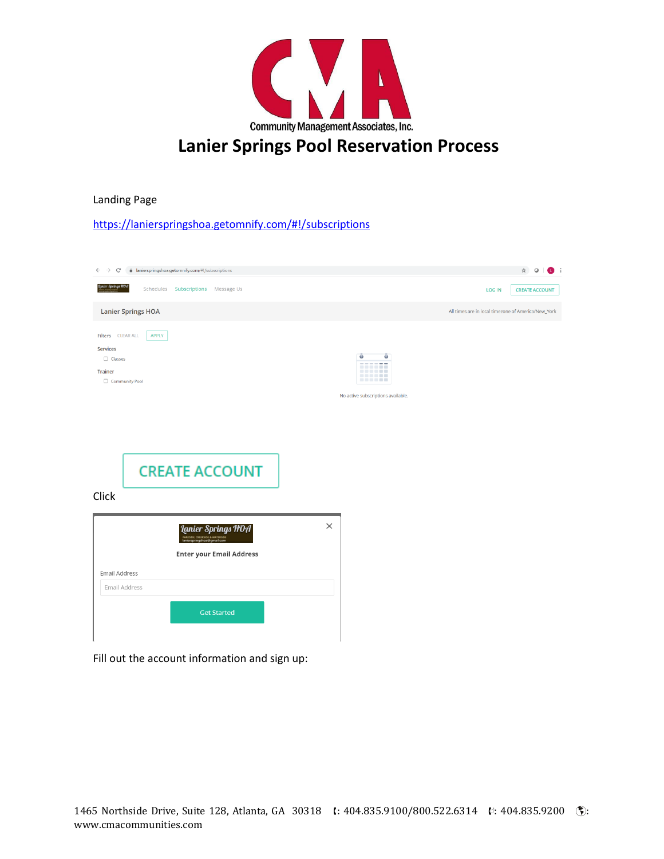

# **Lanier Springs Pool Reservation Process**

Landing Page

<https://lanierspringshoa.getomnify.com/#!/subscriptions>

| a lanierspringshoa.getomnify.com/#!/subscriptions<br>C<br>$\rightarrow$<br>$\leftarrow$                                 | ☆<br>$\bullet$ :<br>$\circ$                                              |
|-------------------------------------------------------------------------------------------------------------------------|--------------------------------------------------------------------------|
| ier Springs HOA<br>Schedules Subscriptions Message Us                                                                   | <b>LOG IN</b><br><b>CREATE ACCOUNT</b>                                   |
| <b>Lanier Springs HOA</b>                                                                                               | All times are in local timezone of America/New_York                      |
| Filters CLEAR ALL<br><b>APPLY</b><br>Services<br>$\Box$ Classes<br>Trainer<br>Community Pool                            | Ō<br>٠<br><br>------<br><br>------<br>No active subscriptions available. |
| <b>CREATE ACCOUNT</b><br>Click                                                                                          |                                                                          |
| <b>Lanier Springs HOA</b><br>.<br>DE, CREEKSIDE & WATERSIDE<br>SDEIDOSDO3 SLOMAILCOM<br><b>Enter your Email Address</b> | $\times$                                                                 |
| Email Address                                                                                                           |                                                                          |
|                                                                                                                         |                                                                          |
| Email Address                                                                                                           |                                                                          |
| <b>Get Started</b>                                                                                                      |                                                                          |
|                                                                                                                         |                                                                          |

Fill out the account information and sign up: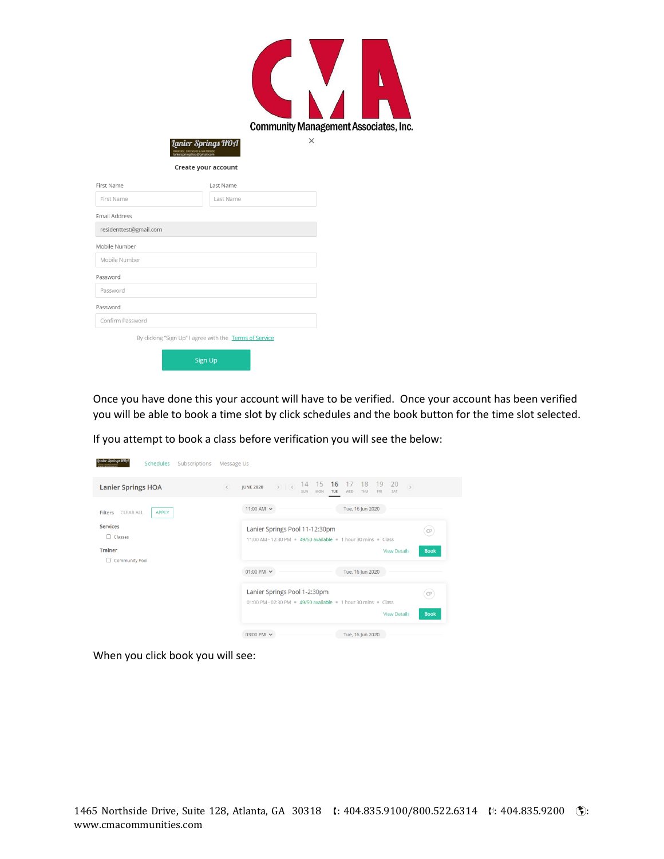



Create your account

| First Name                                              | Last Name |  |  |
|---------------------------------------------------------|-----------|--|--|
| First Name                                              | Last Name |  |  |
| Email Address                                           |           |  |  |
| residenttest@gmail.com                                  |           |  |  |
| Mobile Number                                           |           |  |  |
| Mobile Number                                           |           |  |  |
| Password                                                |           |  |  |
| Password                                                |           |  |  |
| Password                                                |           |  |  |
| Confirm Password                                        |           |  |  |
| By clicking "Sign Up" I agree with the Terms of Service |           |  |  |
| <b>Sign Up</b>                                          |           |  |  |

Once you have done this your account will have to be verified. Once your account has been verified you will be able to book a time slot by click schedules and the book button for the time slot selected.

If you attempt to book a class before verification you will see the below:

| lanier Springs HOA<br>Schedules<br>Subscriptions   | Message Us                                                                                                                                                                                        |
|----------------------------------------------------|---------------------------------------------------------------------------------------------------------------------------------------------------------------------------------------------------|
| <b>Lanier Springs HOA</b>                          | 15<br>16<br>14<br>18<br>19<br>20<br>17<br>$\circledcirc$<br>$\circ$<br>$\left($ $\right)$<br><b>JUNE 2020</b><br><b>SUN</b><br><b>MON</b><br>SAT<br>TUE<br><b>WED</b><br><b>THU</b><br><b>FRI</b> |
| <b>CLEAR ALL</b><br><b>APPLY</b><br><b>Filters</b> | 11:00 AM $\sim$<br>Tue, 16 Jun 2020                                                                                                                                                               |
| <b>Services</b><br>$\Box$ Classes                  | Lanier Springs Pool 11-12:30pm<br>CP<br>11:00 AM - 12:30 PM · 49/50 available · 1 hour 30 mins · Class                                                                                            |
| <b>Trainer</b><br><b>Community Pool</b><br>0.      | <b>View Details</b><br><b>Book</b>                                                                                                                                                                |
|                                                    | 01:00 PM $\sim$<br>Tue, 16 Jun 2020                                                                                                                                                               |
|                                                    | Lanier Springs Pool 1-2:30pm<br>CP<br>01:00 PM - 02:30 PM = 49/50 available = 1 hour 30 mins = Class                                                                                              |
|                                                    | <b>View Details</b><br><b>Book</b>                                                                                                                                                                |
|                                                    | 03:00 PM ~<br>Tue, 16 Jun 2020                                                                                                                                                                    |

When you click book you will see: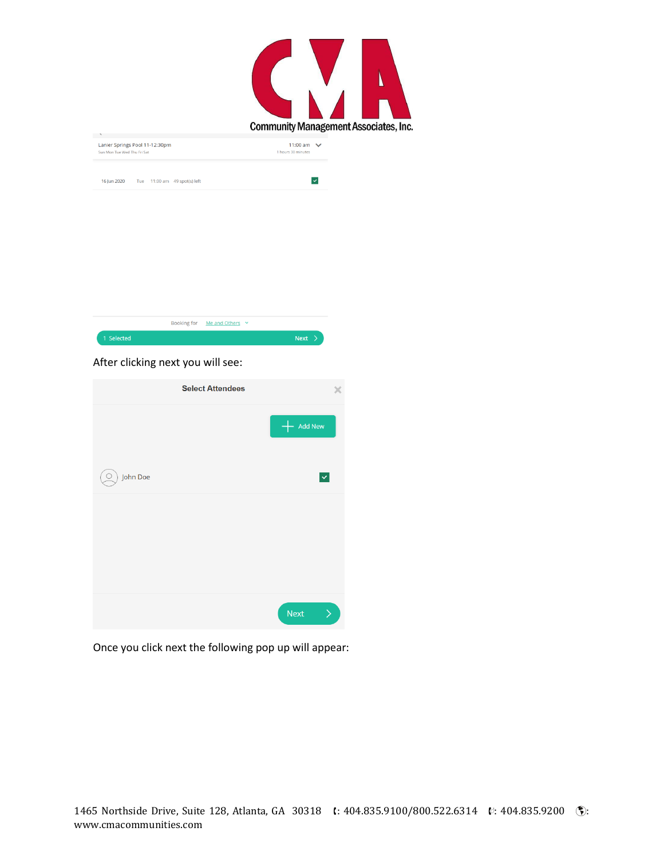| <b>Community Management Associates, Inc.</b> |  |
|----------------------------------------------|--|

| Tue 11:00 am 49 spot(s) left<br>16 Jun 2020 | Sun Mon Tue Wed Thu Fri Sat | Lanier Springs Pool 11-12:30pm | 11:00 am $\vee$<br>1 hours 30 minutes |
|---------------------------------------------|-----------------------------|--------------------------------|---------------------------------------|
|                                             |                             |                                |                                       |



## After clicking next you will see:

|          | <b>Select Attendees</b> |                                                                                                                                                                                                                                                                                                                                                                                                                                                                                                                                                                                     |
|----------|-------------------------|-------------------------------------------------------------------------------------------------------------------------------------------------------------------------------------------------------------------------------------------------------------------------------------------------------------------------------------------------------------------------------------------------------------------------------------------------------------------------------------------------------------------------------------------------------------------------------------|
|          |                         | Add New                                                                                                                                                                                                                                                                                                                                                                                                                                                                                                                                                                             |
| John Doe |                         | $\checkmark$                                                                                                                                                                                                                                                                                                                                                                                                                                                                                                                                                                        |
|          |                         |                                                                                                                                                                                                                                                                                                                                                                                                                                                                                                                                                                                     |
|          |                         |                                                                                                                                                                                                                                                                                                                                                                                                                                                                                                                                                                                     |
|          |                         | <b>Next</b><br>$\left. \right. \right. \left. \right. \left. \right. \left. \right. \left. \right. \left. \right. \left. \left. \right. \left. \right. \left. \right. \left. \left. \right. \left. \right. \left. \left. \right. \right. \left. \left. \right. \left. \left. \right. \right. \left. \left. \right. \left. \right. \left. \left. \right. \right. \left. \left. \right. \right. \left. \left. \right. \right. \left. \left. \right. \left. \left. \right. \right. \left. \left. \right. \right. \left. \left. \right. \right. \left. \left. \right. \right. \left. \$ |

Once you click next the following pop up will appear: